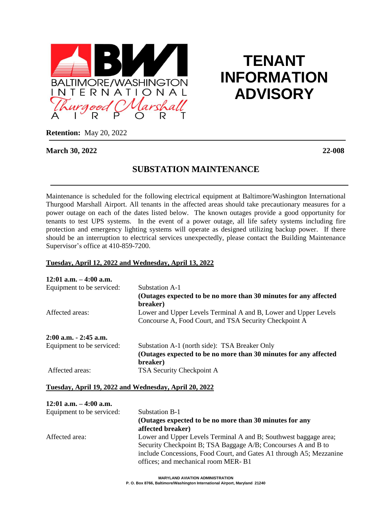

# **TENANT INFORMATION ADVISORY**

**Retention:** May 20, 2022

#### **March 30, 2022 22-008**

# **SUBSTATION MAINTENANCE**

Maintenance is scheduled for the following electrical equipment at Baltimore/Washington International Thurgood Marshall Airport. All tenants in the affected areas should take precautionary measures for a power outage on each of the dates listed below. The known outages provide a good opportunity for tenants to test UPS systems. In the event of a power outage, all life safety systems including fire protection and emergency lighting systems will operate as designed utilizing backup power. If there should be an interruption to electrical services unexpectedly, please contact the Building Maintenance Supervisor's office at 410-859-7200.

# **Tuesday, April 12, 2022 and Wednesday, April 13, 2022**

| $12:01$ a.m. $-4:00$ a.m. |                                                                                                                           |
|---------------------------|---------------------------------------------------------------------------------------------------------------------------|
| Equipment to be serviced: | Substation A-1                                                                                                            |
|                           | (Outages expected to be no more than 30 minutes for any affected<br>breaker)                                              |
| Affected areas:           | Lower and Upper Levels Terminal A and B, Lower and Upper Levels<br>Concourse A, Food Court, and TSA Security Checkpoint A |
| $2:00$ a.m. $-2:45$ a.m.  |                                                                                                                           |
| Equipment to be serviced: | Substation A-1 (north side): TSA Breaker Only                                                                             |
|                           | (Outages expected to be no more than 30 minutes for any affected                                                          |
|                           | breaker)                                                                                                                  |
| Affected areas:           | TSA Security Checkpoint A                                                                                                 |

#### **Tuesday, April 19, 2022 and Wednesday, April 20, 2022**

| $12:01$ a.m. $-4:00$ a.m. |                                                                     |
|---------------------------|---------------------------------------------------------------------|
| Equipment to be serviced: | <b>Substation B-1</b>                                               |
|                           | (Outages expected to be no more than 30 minutes for any             |
|                           | affected breaker)                                                   |
| Affected area:            | Lower and Upper Levels Terminal A and B; Southwest baggage area;    |
|                           | Security Checkpoint B; TSA Baggage A/B; Concourses A and B to       |
|                           | include Concessions, Food Court, and Gates A1 through A5; Mezzanine |
|                           | offices; and mechanical room MER-B1                                 |